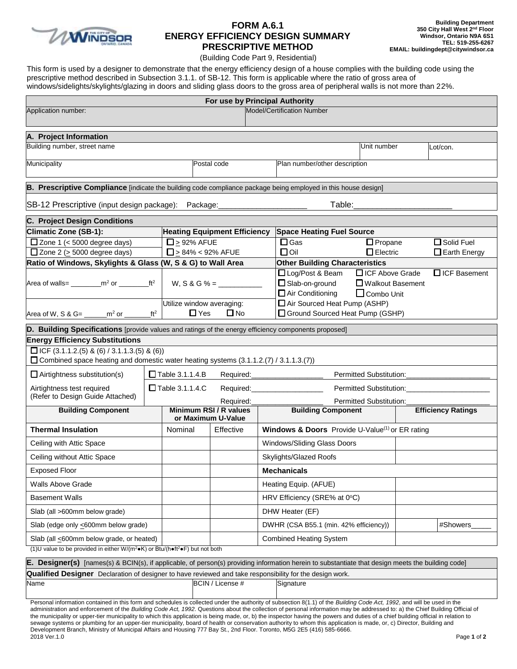

# **FORM A.6.1 ENERGY EFFICIENCY DESIGN SUMMARY PRESCRIPTIVE METHOD**

(Building Code Part 9, Residential)

This form is used by a designer to demonstrate that the energy efficiency design of a house complies with the building code using the prescriptive method described in Subsection 3.1.1. of SB-12. This form is applicable where the ratio of gross area of windows/sidelights/skylights/glazing in doors and sliding glass doors to the gross area of peripheral walls is not more than 22%.

|                                                                                                                                                      |                                     |                                                         | For use by Principal Authority |                                  |                                                                                  |                                         |                           |                     |  |  |
|------------------------------------------------------------------------------------------------------------------------------------------------------|-------------------------------------|---------------------------------------------------------|--------------------------------|----------------------------------|----------------------------------------------------------------------------------|-----------------------------------------|---------------------------|---------------------|--|--|
| Application number:                                                                                                                                  |                                     |                                                         |                                |                                  | <b>Model/Certification Number</b>                                                |                                         |                           |                     |  |  |
| A. Project Information                                                                                                                               |                                     |                                                         |                                |                                  |                                                                                  |                                         |                           |                     |  |  |
| Building number, street name                                                                                                                         |                                     |                                                         |                                |                                  |                                                                                  | Unit number                             |                           | Lot/con.            |  |  |
| Municipality                                                                                                                                         | Postal code                         |                                                         |                                | Plan number/other description    |                                                                                  |                                         |                           |                     |  |  |
| B. Prescriptive Compliance [indicate the building code compliance package being employed in this house design]                                       |                                     |                                                         |                                |                                  |                                                                                  |                                         |                           |                     |  |  |
| SB-12 Prescriptive (input design package): Package: ___________                                                                                      |                                     |                                                         |                                |                                  |                                                                                  |                                         |                           |                     |  |  |
| C. Project Design Conditions                                                                                                                         |                                     |                                                         |                                |                                  |                                                                                  |                                         |                           |                     |  |  |
| Climatic Zone (SB-1):                                                                                                                                | <b>Heating Equipment Efficiency</b> |                                                         |                                | <b>Space Heating Fuel Source</b> |                                                                                  |                                         |                           |                     |  |  |
| $\Box$ Zone 1 (< 5000 degree days)                                                                                                                   |                                     | $\Box$ > 92% AFUE                                       |                                |                                  | $\Box$ Gas                                                                       | $\Box$ Propane                          |                           | $\Box$ Solid Fuel   |  |  |
| $\Box$ Zone 2 (> 5000 degree days)                                                                                                                   |                                     | $\Box$ > 84% < 92% AFUE                                 |                                |                                  | $\Box$ Oil<br>$\Box$ Electric                                                    |                                         |                           | $\Box$ Earth Energy |  |  |
| Ratio of Windows, Skylights & Glass (W, S & G) to Wall Area                                                                                          |                                     |                                                         |                                |                                  | <b>Other Building Characteristics</b>                                            |                                         |                           |                     |  |  |
| Area of walls= _________m <sup>2</sup> or _________ft <sup>2</sup>   W, S & G % = ___________<br>Area of W, S & G= $\frac{m^2 \text{ or } m^2}{m^2}$ |                                     |                                                         |                                |                                  | □ Log/Post & Beam □ ICF Above Grade<br>Slab-on-ground<br>$\Box$ Air Conditioning | □ Walkout Basement<br>$\Box$ Combo Unit |                           | $\Box$ ICF Basement |  |  |
|                                                                                                                                                      |                                     | Utilize window averaging:<br>$\Box$ Yes<br>$\square$ No |                                |                                  | Air Sourced Heat Pump (ASHP)<br>Ground Sourced Heat Pump (GSHP)                  |                                         |                           |                     |  |  |
| D. Building Specifications [provide values and ratings of the energy efficiency components proposed]                                                 |                                     |                                                         |                                |                                  |                                                                                  |                                         |                           |                     |  |  |
| <b>Energy Efficiency Substitutions</b>                                                                                                               |                                     |                                                         |                                |                                  |                                                                                  |                                         |                           |                     |  |  |
| $\Box$ ICF (3.1.1.2.(5) & (6) / 3.1.1.3.(5) & (6))<br>Combined space heating and domestic water heating systems (3.1.1.2.(7) / 3.1.1.3.(7))          |                                     |                                                         |                                |                                  |                                                                                  |                                         |                           |                     |  |  |
| $\Box$ Airtightness substitution(s)                                                                                                                  |                                     | $\Box$ Table 3.1.1.4.B                                  |                                |                                  | Required: ____________________                                                   |                                         |                           |                     |  |  |
| Airtightness test required<br>(Refer to Design Guide Attached)                                                                                       |                                     | $\Box$ Table 3.1.1.4.C                                  |                                | Required:_____________________   |                                                                                  |                                         |                           |                     |  |  |
|                                                                                                                                                      |                                     |                                                         | Required:                      | Permitted Substitution:          |                                                                                  |                                         |                           |                     |  |  |
| <b>Building Component</b>                                                                                                                            |                                     | Minimum RSI / R values<br>or Maximum U-Value            |                                |                                  | <b>Building Component</b>                                                        |                                         | <b>Efficiency Ratings</b> |                     |  |  |
| <b>Thermal Insulation</b>                                                                                                                            |                                     | Nominal                                                 | Effective                      |                                  | Windows & Doors Provide U-Value <sup>(1)</sup> or ER rating                      |                                         |                           |                     |  |  |
| Ceiling with Attic Space                                                                                                                             |                                     |                                                         |                                |                                  | Windows/Sliding Glass Doors                                                      |                                         |                           |                     |  |  |
| Ceiling without Attic Space                                                                                                                          |                                     |                                                         |                                |                                  | Skylights/Glazed Roofs                                                           |                                         |                           |                     |  |  |
| <b>Exposed Floor</b>                                                                                                                                 |                                     |                                                         |                                |                                  | <b>Mechanicals</b>                                                               |                                         |                           |                     |  |  |
| Walls Above Grade                                                                                                                                    |                                     |                                                         |                                |                                  | Heating Equip. (AFUE)                                                            |                                         |                           |                     |  |  |
| <b>Basement Walls</b>                                                                                                                                |                                     |                                                         |                                |                                  | HRV Efficiency (SRE% at 0°C)                                                     |                                         |                           |                     |  |  |
| Slab (all >600mm below grade)                                                                                                                        |                                     |                                                         |                                |                                  | DHW Heater (EF)                                                                  |                                         |                           |                     |  |  |
| Slab (edge only <600mm below grade)                                                                                                                  |                                     |                                                         |                                |                                  | DWHR (CSA B55.1 (min. 42% efficiency))                                           |                                         |                           | #Showers            |  |  |
| Slab (all <600mm below grade, or heated)                                                                                                             |                                     |                                                         |                                |                                  | <b>Combined Heating System</b>                                                   |                                         |                           |                     |  |  |
| (1)U value to be provided in either W/(m <sup>2</sup> •K) or Btu/(h•ft <sup>2</sup> •F) but not both                                                 |                                     |                                                         |                                |                                  |                                                                                  |                                         |                           |                     |  |  |
| E. Designer(s) [names(s) & BCIN(s), if applicable, of person(s) providing information herein to substantiate that design meets the building code]    |                                     |                                                         |                                |                                  |                                                                                  |                                         |                           |                     |  |  |

**R. Qualified Designer** Declaration of designer to have reviewed and take responsibility for the design work. Name BCIN / License # Signature

2018 Ver.1.0 Page **1** of **2** Personal information contained in this form and schedules is collected under the authority of subsection 8(1.1) of the *Building Code Act, 1992*, and will be used in the administration and enforcement of the *Building Code Act, 1992*. Questions about the collection of personal information may be addressed to: a) the Chief Building Official of the municipality or upper-tier municipality to which this application is being made, or, b) the inspector having the powers and duties of a chief building official in relation to sewage systems or plumbing for an upper-tier municipality, board of health or conservation authority to whom this application is made, or, c) Director, Building and Development Branch, Ministry of Municipal Affairs and Housing 777 Bay St., 2nd Floor. Toronto, M5G 2E5 (416) 585-6666.